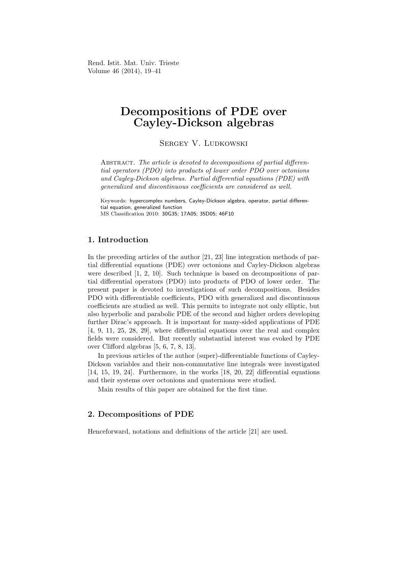Rend. Istit. Mat. Univ. Trieste Volume 46 (2014), 19–41

# Decompositions of PDE over Cayley-Dickson algebras

Sergey V. Ludkowski

ABSTRACT. The article is devoted to decompositions of partial differential operators (PDO) into products of lower order PDO over octonions and Cayley-Dickson algebras. Partial differential equations (PDE) with generalized and discontinuous coefficients are considered as well.

Keywords: hypercomplex numbers, Cayley-Dickson algebra, operator, partial differential equation, generalized function MS Classification 2010: 30G35; 17A05; 35D05; 46F10

### 1. Introduction

In the preceding articles of the author [21, 23] line integration methods of partial differential equations (PDE) over octonions and Cayley-Dickson algebras were described [1, 2, 10]. Such technique is based on decompositions of partial differential operators (PDO) into products of PDO of lower order. The present paper is devoted to investigations of such decompositions. Besides PDO with differentiable coefficients, PDO with generalized and discontinuous coefficients are studied as well. This permits to integrate not only elliptic, but also hyperbolic and parabolic PDE of the second and higher orders developing further Dirac's approach. It is important for many-sided applications of PDE [4, 9, 11, 25, 28, 29], where differential equations over the real and complex fields were considered. But recently substantial interest was evoked by PDE over Clifford algebras [5, 6, 7, 8, 13].

In previous articles of the author (super)-differentiable functions of Cayley-Dickson variables and their non-commutative line integrals were investigated [14, 15, 19, 24]. Furthermore, in the works [18, 20, 22] differential equations and their systems over octonions and quaternions were studied.

Main results of this paper are obtained for the first time.

### 2. Decompositions of PDE

Henceforward, notations and definitions of the article [21] are used.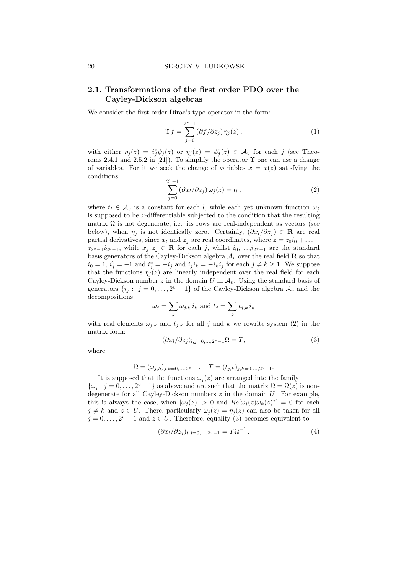## 2.1. Transformations of the first order PDO over the Cayley-Dickson algebras

We consider the first order Dirac's type operator in the form:

$$
\Upsilon f = \sum_{j=0}^{2^v - 1} (\partial f / \partial z_j) \eta_j(z), \qquad (1)
$$

with either  $\eta_j(z) = i_j^* \psi_j(z)$  or  $\eta_j(z) = \phi_j^*(z) \in \mathcal{A}_v$  for each j (see Theorems 2.4.1 and 2.5.2 in [21]). To simplify the operator  $\Upsilon$  one can use a change of variables. For it we seek the change of variables  $x = x(z)$  satisfying the conditions:

$$
\sum_{j=0}^{2^v-1} (\partial x_l/\partial z_j) \,\omega_j(z) = t_l \,, \tag{2}
$$

where  $t_l \in \mathcal{A}_v$  is a constant for each l, while each yet unknown function  $\omega_j$ is supposed to be z-differentiable subjected to the condition that the resulting matrix  $\Omega$  is not degenerate, i.e. its rows are real-independent as vectors (see below), when  $\eta_j$  is not identically zero. Certainly,  $(\partial x_l/\partial z_j) \in \mathbf{R}$  are real partial derivatives, since  $x_l$  and  $z_j$  are real coordinates, where  $z = z_0 i_0 + \ldots$  $z_{2^v-1}i_{2^v-1}$ , while  $x_j, z_j \in \mathbf{R}$  for each j, whilst  $i_0, \ldots, i_{2^v-1}$  are the standard basis generators of the Cayley-Dickson algebra  $A_v$  over the real field **R** so that  $i_0 = 1$ ,  $i_j^2 = -1$  and  $i_j^* = -i_j$  and  $i_j i_k = -i_k i_j$  for each  $j \neq k \geq 1$ . We suppose that the functions  $\eta_i(z)$  are linearly independent over the real field for each Cayley-Dickson number z in the domain U in  $\mathcal{A}_{v}$ . Using the standard basis of generators  $\{i_j: j = 0, \ldots, 2^v - 1\}$  of the Cayley-Dickson algebra  $\mathcal{A}_v$  and the decompositions

$$
\omega_j = \sum_k \omega_{j,k} \, i_k \text{ and } t_j = \sum_k t_{j,k} \, i_k
$$

with real elements  $\omega_{j,k}$  and  $t_{j,k}$  for all j and k we rewrite system (2) in the matrix form:

$$
(\partial x_l/\partial z_j)_{l,j=0,\dots,2^v-1}\Omega = T,\tag{3}
$$

where

$$
\Omega = (\omega_{j,k})_{j,k=0,\ldots,2^v-1}, \quad T = (t_{j,k})_{j,k=0,\ldots,2^v-1}.
$$

It is supposed that the functions  $\omega_j(z)$  are arranged into the family  $\{\omega_j : j = 0, \ldots, 2^v - 1\}$  as above and are such that the matrix  $\Omega = \Omega(z)$  is nondegenerate for all Cayley-Dickson numbers  $z$  in the domain  $U$ . For example, this is always the case, when  $|\omega_j(z)| > 0$  and  $Re[\omega_j(z)\omega_k(z)^*] = 0$  for each  $j \neq k$  and  $z \in U$ . There, particularly  $\omega_i(z) = \eta_i(z)$  can also be taken for all  $j = 0, \ldots, 2^v - 1$  and  $z \in U$ . Therefore, equality (3) becomes equivalent to

$$
(\partial x_l/\partial z_j)_{l,j=0,\ldots,2^v-1} = T\Omega^{-1}.
$$
\n
$$
(4)
$$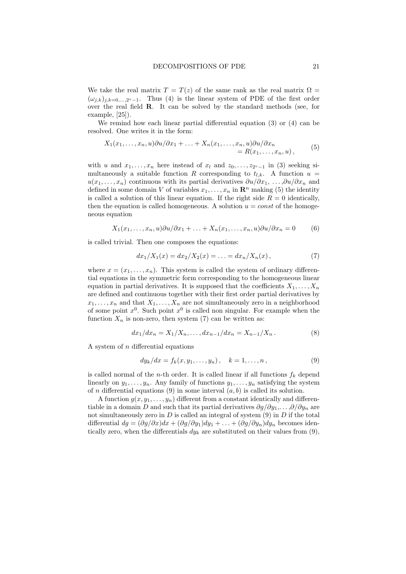We take the real matrix  $T = T(z)$  of the same rank as the real matrix  $\Omega =$  $(\omega_{j,k})_{j,k=0,\ldots,2^v-1}$ . Thus (4) is the linear system of PDE of the first order over the real field R. It can be solved by the standard methods (see, for example, [25]).

We remind how each linear partial differential equation (3) or (4) can be resolved. One writes it in the form:

$$
X_1(x_1,...,x_n,u)\partial u/\partial x_1+...+X_n(x_1,...,x_n,u)\partial u/\partial x_n
$$
  
=  $R(x_1,...,x_n,u)$ , (5)

with u and  $x_1, \ldots, x_n$  here instead of  $x_l$  and  $z_0, \ldots, z_{2^v-1}$  in (3) seeking simultaneously a suitable function R corresponding to  $t_{l,k}$ . A function  $u =$  $u(x_1, \ldots, x_n)$  continuous with its partial derivatives  $\partial u/\partial x_1, \ldots, \partial u/\partial x_n$  and defined in some domain V of variables  $x_1, \ldots, x_n$  in  $\mathbb{R}^n$  making (5) the identity is called a solution of this linear equation. If the right side  $R = 0$  identically, then the equation is called homogeneous. A solution  $u = const$  of the homogeneous equation

$$
X_1(x_1,...,x_n,u)\partial u/\partial x_1+...+X_n(x_1,...,x_n,u)\partial u/\partial x_n=0
$$
 (6)

is called trivial. Then one composes the equations:

$$
dx_1/X_1(x) = dx_2/X_2(x) = \ldots = dx_n/X_n(x), \qquad (7)
$$

where  $x = (x_1, \ldots, x_n)$ . This system is called the system of ordinary differential equations in the symmetric form corresponding to the homogeneous linear equation in partial derivatives. It is supposed that the coefficients  $X_1, \ldots, X_n$ are defined and continuous together with their first order partial derivatives by  $x_1, \ldots, x_n$  and that  $X_1, \ldots, X_n$  are not simultaneously zero in a neighborhood of some point  $x^0$ . Such point  $x^0$  is called non singular. For example when the function  $X_n$  is non-zero, then system (7) can be written as:

$$
dx_1/dx_n = X_1/X_n, \dots, dx_{n-1}/dx_n = X_{n-1}/X_n. \tag{8}
$$

A system of  $n$  differential equations

$$
dy_k/dx = f_k(x, y_1, \dots, y_n), \quad k = 1, \dots, n,
$$
\n(9)

is called normal of the *n*-th order. It is called linear if all functions  $f_k$  depend linearly on  $y_1, \ldots, y_n$ . Any family of functions  $y_1, \ldots, y_n$  satisfying the system of *n* differential equations (9) in some interval  $(a, b)$  is called its solution.

A function  $g(x, y_1, \ldots, y_n)$  different from a constant identically and differentiable in a domain D and such that its partial derivatives  $\partial q/\partial y_1,\ldots,\partial/\partial y_n$  are not simultaneously zero in  $D$  is called an integral of system  $(9)$  in  $D$  if the total differential  $dg = (\partial g/\partial x)dx + (\partial g/\partial y_1)dy_1 + \ldots + (\partial g/\partial y_n)dy_n$  becomes identically zero, when the differentials  $dy_k$  are substituted on their values from (9),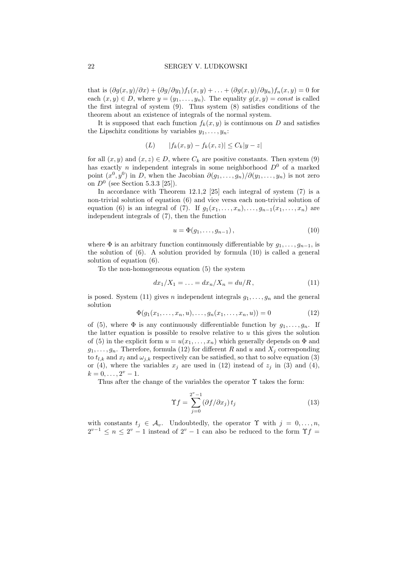that is  $(\partial g(x, y)/\partial x) + (\partial g/\partial y_1) f_1(x, y) + \ldots + (\partial g(x, y)/\partial y_n) f_n(x, y) = 0$  for each  $(x, y) \in D$ , where  $y = (y_1, \ldots, y_n)$ . The equality  $g(x, y) = const$  is called the first integral of system (9). Thus system (8) satisfies conditions of the theorem about an existence of integrals of the normal system.

It is supposed that each function  $f_k(x, y)$  is continuous on D and satisfies the Lipschitz conditions by variables  $y_1, \ldots, y_n$ :

$$
(L) \t |f_k(x, y) - f_k(x, z)| \le C_k |y - z|
$$

for all  $(x, y)$  and  $(x, z) \in D$ , where  $C_k$  are positive constants. Then system (9) has exactly n independent integrals in some neighborhood  $D^0$  of a marked point  $(x^0, y^0)$  in D, when the Jacobian  $\partial(g_1, \ldots, g_n)/\partial(y_1, \ldots, y_n)$  is not zero on  $D^0$  (see Section 5.3.3 [25]).

In accordance with Theorem 12.1,2 [25] each integral of system (7) is a non-trivial solution of equation (6) and vice versa each non-trivial solution of equation (6) is an integral of (7). If  $g_1(x_1, \ldots, x_n), \ldots, g_{n-1}(x_1, \ldots, x_n)$  are independent integrals of (7), then the function

$$
u = \Phi(g_1, \dots, g_{n-1}), \qquad (10)
$$

where  $\Phi$  is an arbitrary function continuously differentiable by  $q_1, \ldots, q_{n-1}$ , is the solution of (6). A solution provided by formula (10) is called a general solution of equation (6).

To the non-homogeneous equation (5) the system

$$
dx_1/X_1 = \ldots = dx_n/X_n = du/R, \qquad (11)
$$

is posed. System (11) gives n independent integrals  $g_1, \ldots, g_n$  and the general solution

$$
\Phi(g_1(x_1, \dots, x_n, u), \dots, g_n(x_1, \dots, x_n, u)) = 0 \tag{12}
$$

of (5), where  $\Phi$  is any continuously differentiable function by  $g_1, \ldots, g_n$ . If the latter equation is possible to resolve relative to  $u$  this gives the solution of (5) in the explicit form  $u = u(x_1, \ldots, x_n)$  which generally depends on  $\Phi$  and  $g_1, \ldots, g_n$ . Therefore, formula (12) for different R and u and  $X_i$  corresponding to  $t_{l,k}$  and  $x_l$  and  $\omega_{j,k}$  respectively can be satisfied, so that to solve equation (3) or (4), where the variables  $x_j$  are used in (12) instead of  $z_j$  in (3) and (4),  $k = 0, \ldots, 2^v - 1.$ 

Thus after the change of the variables the operator  $\Upsilon$  takes the form:

$$
\Upsilon f = \sum_{j=0}^{2^v - 1} (\partial f / \partial x_j) t_j \tag{13}
$$

with constants  $t_i \in \mathcal{A}_v$ . Undoubtedly, the operator  $\Upsilon$  with  $j = 0, \ldots, n$ ,  $2^{v-1} \leq n \leq 2^v - 1$  instead of  $2^v - 1$  can also be reduced to the form  $\Upsilon f =$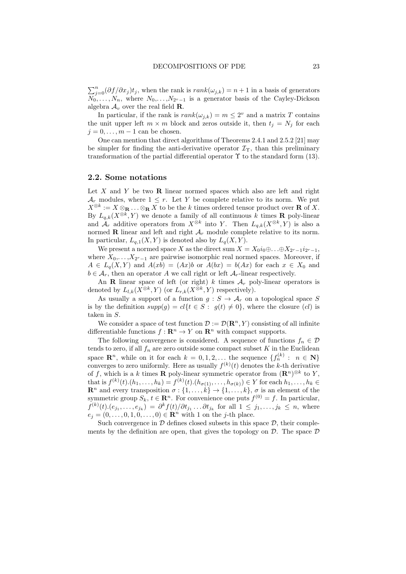$\sum_{j=0}^{n} (\partial f/\partial x_j)t_j$ , when the rank is  $rank(\omega_{j,k}) = n+1$  in a basis of generators  $N_0, \ldots, N_n$ , where  $N_0, \ldots, N_{2^v-1}$  is a generator basis of the Cayley-Dickson algebra  $\mathcal{A}_v$  over the real field **R**.

In particular, if the rank is  $rank(\omega_{j,k}) = m \leq 2^v$  and a matrix T contains the unit upper left  $m \times m$  block and zeros outside it, then  $t_j = N_j$  for each  $j = 0, \ldots, m - 1$  can be chosen.

One can mention that direct algorithms of Theorems 2.4.1 and 2.5.2 [21] may be simpler for finding the anti-derivative operator  $\mathcal{I}_{\Upsilon}$ , than this preliminary transformation of the partial differential operator  $\Upsilon$  to the standard form (13).

### 2.2. Some notations

Let  $X$  and  $Y$  be two  $\bf{R}$  linear normed spaces which also are left and right  $\mathcal{A}_r$  modules, where  $1 \leq r$ . Let Y be complete relative to its norm. We put  $X^{\otimes k} := X \otimes_{\mathbf{R}} \ldots \otimes_{\mathbf{R}} X$  to be the k times ordered tensor product over **R** of X. By  $L_{q,k}(X^{\otimes k}, Y)$  we denote a family of all continuous k times **R** poly-linear and  $\mathcal{A}_r$  additive operators from  $X^{\otimes k}$  into Y. Then  $L_{q,k}(X^{\otimes k}, Y)$  is also a normed **R** linear and left and right  $A_r$  module complete relative to its norm. In particular,  $L_{q,1}(X, Y)$  is denoted also by  $L_q(X, Y)$ .

We present a normed space X as the direct sum  $X = X_0 i_0 \oplus \ldots \oplus X_{2r-1} i_{2r-1}$ , where  $X_0, \ldots, X_{2^r-1}$  are pairwise isomorphic real normed spaces. Moreover, if  $A \in L_q(X,Y)$  and  $A(xb) = (Ax)b$  or  $A(bx) = b(Ax)$  for each  $x \in X_0$  and  $b \in \mathcal{A}_r$ , then an operator A we call right or left  $\mathcal{A}_r$ -linear respectively.

An **R** linear space of left (or right) k times  $A_r$  poly-linear operators is denoted by  $L_{l,k}(X^{\otimes k}, Y)$  (or  $L_{r,k}(X^{\otimes k}, Y)$  respectively).

As usually a support of a function  $g : S \to \mathcal{A}_r$  on a topological space S is by the definition  $supp(g) = cl{t \in S : g(t) \neq 0}$ , where the closure (cl) is taken in S.

We consider a space of test function  $\mathcal{D} := \mathcal{D}(\mathbb{R}^n, Y)$  consisting of all infinite differentiable functions  $f: \mathbb{R}^n \to Y$  on  $\mathbb{R}^n$  with compact supports.

The following convergence is considered. A sequence of functions  $f_n \in \mathcal{D}$ tends to zero, if all  $f_n$  are zero outside some compact subset K in the Euclidean space  $\mathbb{R}^n$ , while on it for each  $k = 0, 1, 2, \ldots$  the sequence  $\{f_n^{(k)} : n \in \mathbb{N}\}\$ converges to zero uniformly. Here as usually  $f^{(k)}(t)$  denotes the k-th derivative of f, which is a k times **R** poly-linear symmetric operator from  $(\mathbf{R}^n)^{\otimes k}$  to Y, that is  $f^{(k)}(t) \cdot (h_1, \ldots, h_k) = f^{(k)}(t) \cdot (h_{\sigma(1)}, \ldots, h_{\sigma(k)}) \in Y$  for each  $h_1, \ldots, h_k \in$  $\mathbb{R}^n$  and every transposition  $\sigma: \{1, \ldots, k\} \to \{1, \ldots, k\}, \sigma$  is an element of the symmetric group  $S_k$ ,  $t \in \mathbb{R}^n$ . For convenience one puts  $f^{(0)} = f$ . In particular,  $f^{(k)}(t) \cdot (e_{j_1}, \ldots, e_{j_k}) = \partial^k f(t) / \partial t_{j_1} \ldots \partial t_{j_k}$  for all  $1 \leq j_1, \ldots, j_k \leq n$ , where  $e_j = (0, \ldots, 0, 1, 0, \ldots, 0) \in \mathbb{R}^n$  with 1 on the *j*-th place.

Such convergence in  $\mathcal D$  defines closed subsets in this space  $\mathcal D$ , their complements by the definition are open, that gives the topology on  $D$ . The space  $D$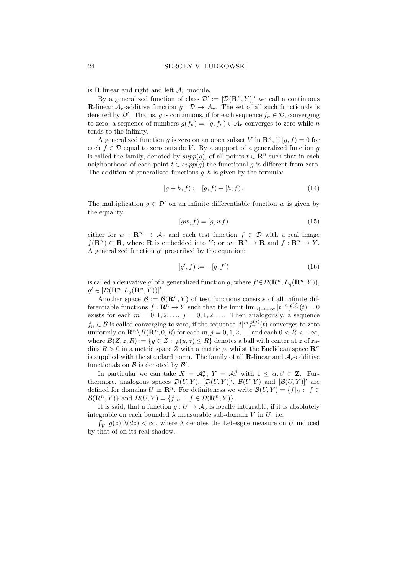is **R** linear and right and left  $A_r$  module.

By a generalized function of class  $\mathcal{D}' := [\mathcal{D}(\mathbf{R}^n, Y)]'$  we call a continuous **R**-linear  $A_r$ -additive function  $g: \mathcal{D} \to A_r$ . The set of all such functionals is denoted by  $\mathcal{D}'$ . That is, g is continuous, if for each sequence  $f_n \in \mathcal{D}$ , converging to zero, a sequence of numbers  $g(f_n) = : [g, f_n) \in \mathcal{A}_r$  converges to zero while n tends to the infinity.

A generalized function g is zero on an open subset V in  $\mathbb{R}^n$ , if  $[g, f) = 0$  for each  $f \in \mathcal{D}$  equal to zero outside V. By a support of a generalized function g is called the family, denoted by  $supp(g)$ , of all points  $t \in \mathbb{R}^n$  such that in each neighborhood of each point  $t \in supp(g)$  the functional g is different from zero. The addition of generalized functions  $g, h$  is given by the formula:

$$
[g+h,f) := [g,f) + [h,f).
$$
\n(14)

The multiplication  $q \in \mathcal{D}'$  on an infinite differentiable function w is given by the equality:

$$
[gw, f) = [g, wf)
$$
\n<sup>(15)</sup>

either for  $w : \mathbb{R}^n \to A_r$  and each test function  $f \in \mathcal{D}$  with a real image  $f(\mathbf{R}^n) \subset \mathbf{R}$ , where **R** is embedded into Y; or  $w : \mathbf{R}^n \to \mathbf{R}$  and  $f : \mathbf{R}^n \to Y$ . A generalized function  $g'$  prescribed by the equation:

$$
[g', f) := -[g, f') \tag{16}
$$

is called a derivative g' of a generalized function g, where  $f' \in \mathcal{D}(\mathbf{R}^n, L_q(\mathbf{R}^n, Y)),$  $g' \in [\mathcal{D}(\mathbf{R}^n, L_q(\mathbf{R}^n, Y))]'.$ 

Another space  $\mathcal{B} := \mathcal{B}(\mathbb{R}^n, Y)$  of test functions consists of all infinite differentiable functions  $f: \mathbf{R}^n \to Y$  such that the limit  $\lim_{|t| \to +\infty} |t|^m f^{(j)}(t) = 0$ exists for each  $m = 0, 1, 2, \ldots, j = 0, 1, 2, \ldots$  Then analogously, a sequence  $f_n \in \mathcal{B}$  is called converging to zero, if the sequence  $|t|^m f_n^{(j)}(t)$  converges to zero uniformly on  $\mathbb{R}^n \setminus B(\mathbb{R}^n, 0, R)$  for each  $m, j = 0, 1, 2, \ldots$  and each  $0 < R < +\infty$ . where  $B(Z, z, R) := \{y \in Z : \rho(y, z) \leq R\}$  denotes a ball with center at z of radius  $R > 0$  in a metric space Z with a metric  $\rho$ , whilst the Euclidean space  $\mathbb{R}^n$ is supplied with the standard norm. The family of all **R**-linear and  $A_r$ -additive functionals on  $\mathcal B$  is denoted by  $\mathcal B'$ .

In particular we can take  $X = \mathcal{A}_r^{\alpha}$ ,  $Y = \mathcal{A}_r^{\beta}$  with  $1 \leq \alpha, \beta \in \mathbf{Z}$ . Furthermore, analogous spaces  $\mathcal{D}(U, Y)$ ,  $[\mathcal{D}(U, Y)]'$ ,  $\mathcal{B}(U, Y)$  and  $[\mathcal{B}(U, Y)]'$  are defined for domains U in  $\mathbb{R}^n$ . For definiteness we write  $\mathcal{B}(U, Y) = \{f|_{U} : f \in$  $\mathcal{B}(\mathbf{R}^n, Y)$  and  $\mathcal{D}(U, Y) = \{f|_U : f \in \mathcal{D}(\mathbf{R}^n, Y)\}.$ 

It is said, that a function  $g: U \to \mathcal{A}_v$  is locally integrable, if it is absolutely integrable on each bounded  $\lambda$  measurable sub-domain V in U, i.e.

 $\int_V |g(z)|\lambda(dz) < \infty$ , where  $\lambda$  denotes the Lebesgue measure on U induced by that of on its real shadow.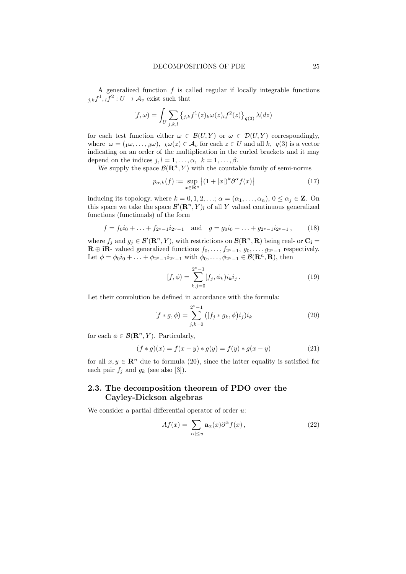A generalized function  $f$  is called regular if locally integrable functions  $_{j,k}f^{1},{}_{l}f^{2}:U\to\mathcal{A}_{v}$  exist such that

$$
[f,\omega) = \int_U \sum_{j,k,l} \left\{ j_k f^1(z)_{k} \omega(z)_{l} f^2(z) \right\}_{q(3)} \lambda(dz)
$$

for each test function either  $\omega \in \mathcal{B}(U, Y)$  or  $\omega \in \mathcal{D}(U, Y)$  correspondingly, where  $\omega = (\alpha_1 \omega, \dots, \beta \omega), \ \kappa \omega(z) \in \mathcal{A}_v$  for each  $z \in U$  and all k,  $q(3)$  is a vector indicating on an order of the multiplication in the curled brackets and it may depend on the indices  $j, l = 1, \ldots, \alpha, \; k = 1, \ldots, \beta.$ 

We supply the space  $\mathcal{B}(\mathbb{R}^n, Y)$  with the countable family of semi-norms

$$
p_{\alpha,k}(f) := \sup_{x \in \mathbf{R}^n} \left| (1+|x|)^k \partial^{\alpha} f(x) \right| \tag{17}
$$

inducing its topology, where  $k = 0, 1, 2, \ldots; \alpha = (\alpha_1, \ldots, \alpha_n), 0 \leq \alpha_i \in \mathbb{Z}$ . On this space we take the space  $\mathcal{B}'(\mathbf{R}^n, Y)_l$  of all Y valued continuous generalized functions (functionals) of the form

$$
f = f_0 i_0 + \ldots + f_{2^v - 1} i_{2^v - 1} \quad \text{and} \quad g = g_0 i_0 + \ldots + g_{2^v - 1} i_{2^v - 1}, \tag{18}
$$

where  $f_j$  and  $g_j \in \mathcal{B}'(\mathbf{R}^n, Y)$ , with restrictions on  $\mathcal{B}(\mathbf{R}^n, \mathbf{R})$  being real- or  $\mathbf{C_i} =$  $\mathbf{R} \oplus \mathbf{iR}$ - valued generalized functions  $f_0, \ldots, f_{2^v-1}, g_0, \ldots, g_{2^v-1}$  respectively. Let  $\phi = \phi_0 i_0 + \ldots + \phi_{2^v-1} i_{2^v-1}$  with  $\phi_0, \ldots, \phi_{2^v-1} \in \mathcal{B}(\mathbb{R}^n, \mathbb{R})$ , then

$$
[f, \phi) = \sum_{k,j=0}^{2^v - 1} [f_j, \phi_k] i_k i_j.
$$
 (19)

Let their convolution be defined in accordance with the formula:

$$
[f * g, \phi) = \sum_{j,k=0}^{2^v - 1} ([f_j * g_k, \phi) i_j) i_k
$$
 (20)

for each  $\phi \in \mathcal{B}(\mathbf{R}^n, Y)$ . Particularly,

$$
(f * g)(x) = f(x - y) * g(y) = f(y) * g(x - y)
$$
\n(21)

for all  $x, y \in \mathbb{R}^n$  due to formula (20), since the latter equality is satisfied for each pair  $f_i$  and  $g_k$  (see also [3]).

# 2.3. The decomposition theorem of PDO over the Cayley-Dickson algebras

We consider a partial differential operator of order  $u$ :

$$
Af(x) = \sum_{|\alpha| \le u} \mathbf{a}_{\alpha}(x) \partial^{\alpha} f(x), \qquad (22)
$$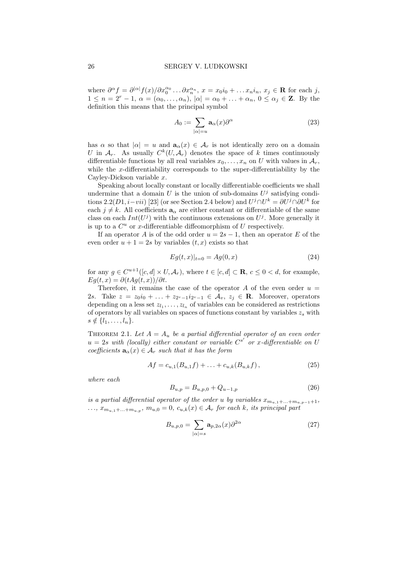where  $\partial^{\alpha} f = \partial^{|\alpha|} f(x)/\partial x_0^{\alpha_0} \dots \partial x_n^{\alpha_n}, x = x_0 i_0 + \dots x_n i_n, x_j \in \mathbf{R}$  for each j,  $1 \leq n = 2^r - 1$ ,  $\alpha = (\alpha_0, \ldots, \alpha_n)$ ,  $|\alpha| = \alpha_0 + \ldots + \alpha_n$ ,  $0 \leq \alpha_j \in \mathbb{Z}$ . By the definition this means that the principal symbol

$$
A_0 := \sum_{|\alpha| = u} \mathbf{a}_{\alpha}(x) \partial^{\alpha} \tag{23}
$$

has  $\alpha$  so that  $|\alpha| = u$  and  $\mathbf{a}_{\alpha}(x) \in \mathcal{A}_r$  is not identically zero on a domain U in  $A_r$ . As usually  $C^k(U, A_r)$  denotes the space of k times continuously differentiable functions by all real variables  $x_0, \ldots, x_n$  on U with values in  $\mathcal{A}_r$ , while the x-differentiability corresponds to the super-differentiability by the Cayley-Dickson variable x.

Speaking about locally constant or locally differentiable coefficients we shall undermine that a domain U is the union of sub-domains  $U^j$  satisfying conditions 2.2(D1, i–vii) [23] (or see Section 2.4 below) and  $U^j \cap U^k = \partial U^j \cap \partial U^k$  for each  $j \neq k$ . All coefficients  $\mathbf{a}_{\alpha}$  are either constant or differentiable of the same class on each  $Int(U^j)$  with the continuous extensions on  $U^j$ . More generally it is up to a  $C^u$  or x-differentiable diffeomorphism of U respectively.

If an operator A is of the odd order  $u = 2s - 1$ , then an operator E of the even order  $u + 1 = 2s$  by variables  $(t, x)$  exists so that

$$
Eg(t,x)|_{t=0} = Ag(0,x)
$$
\n(24)

for any  $g \in C^{u+1}([c, d] \times U, \mathcal{A}_r)$ , where  $t \in [c, d] \subset \mathbf{R}, c \leq 0 < d$ , for example,  $Eg(t, x) = \partial(tAg(t, x))/\partial t.$ 

Therefore, it remains the case of the operator A of the even order  $u =$ 2s. Take  $z = z_0 i_0 + \ldots + z_{2^v-1} i_{2^v-1} \in \mathcal{A}_v, z_j \in \mathbf{R}$ . Moreover, operators depending on a less set  $z_{l_1}, \ldots, z_{l_n}$  of variables can be considered as restrictions of operators by all variables on spaces of functions constant by variables  $z_s$  with  $s \notin \{l_1, \ldots, l_n\}.$ 

THEOREM 2.1. Let  $A = A_u$  be a partial differential operator of an even order  $u = 2s$  with (locally) either constant or variable  $C^{s'}$  or x-differentiable on U coefficients  $\mathbf{a}_{\alpha}(x) \in \mathcal{A}_r$  such that it has the form

$$
Af = c_{u,1}(B_{u,1}f) + \ldots + c_{u,k}(B_{u,k}f), \qquad (25)
$$

where each

$$
B_{u,p} = B_{u,p,0} + Q_{u-1,p} \tag{26}
$$

is a partial differential operator of the order u by variables  $x_{m_{u,1}+\ldots+m_{u,p-1}+1}$ ,  $\dots, x_{m_{u,1}+\dots+m_{u,p}}, m_{u,0}=0, c_{u,k}(x) \in \mathcal{A}_r$  for each k, its principal part

$$
B_{u,p,0} = \sum_{|\alpha|=s} \mathbf{a}_{p,2\alpha}(x)\partial^{2\alpha} \tag{27}
$$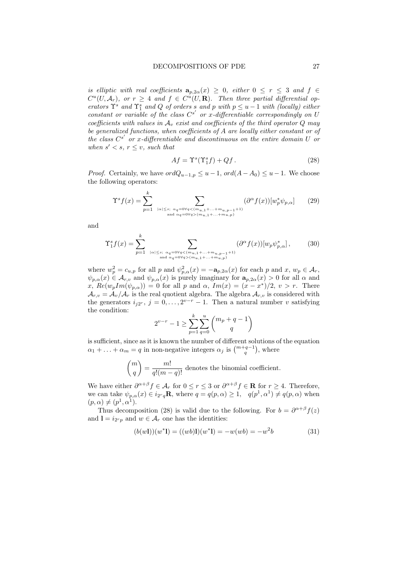is elliptic with real coefficients  $a_{p,2\alpha}(x) \geq 0$ , either  $0 \leq r \leq 3$  and  $f \in$  $C^u(U, \mathcal{A}_r)$ , or  $r \geq 4$  and  $f \in C^u(U, \mathbf{R})$ . Then three partial differential operators  $\Upsilon^s$  and  $\Upsilon^s_1$  and Q of orders s and p with  $p \le u - 1$  with (locally) either constant or variable of the class  $C^{s'}$  or x-differentiable correspondingly on U coefficients with values in  $A_v$  exist and coefficients of the third operator Q may be generalized functions, when coefficients of A are locally either constant or of the class  $C^{s'}$  or x-differentiable and discontinuous on the entire domain U or when  $s' < s$ ,  $r \leq v$ , such that

$$
Af = \Upsilon^s(\Upsilon_1^s f) + Qf. \tag{28}
$$

*Proof.* Certainly, we have  $ordQ_{u-1,p} \leq u-1$ ,  $ord(A-A_0) \leq u-1$ . We choose the following operators:

$$
\Upsilon^s f(x) = \sum_{p=1}^k \sum_{|\alpha| \le s; \alpha_q = 0 \forall q < (m_{u,1} + \dots + m_{u,p-1} + 1) \atop \text{and } \alpha_q = 0 \forall q > (m_{u,1} + \dots + m_{u,p})} (\partial^\alpha f(x)) [w_p^* \psi_{p,\alpha}] \tag{29}
$$

and

$$
\Upsilon_1^s f(x) = \sum_{p=1}^k \sum_{\substack{|\alpha| \le s; \ \alpha q = 0 \forall q < (m_{u,1} + \ldots + m_{u,p-1} + 1) \\ \text{and } \alpha q = 0 \forall q > (m_{u,1} + \ldots + m_{u,p})}} (\partial^\alpha f(x)) [w_p \psi_{p,\alpha}^*],\tag{30}
$$

where  $w_p^2 = c_{u,p}$  for all p and  $\psi_{p,\alpha}^2(x) = -\mathbf{a}_{p,2\alpha}(x)$  for each p and x,  $w_p \in \mathcal{A}_r$ ,  $\psi_{p,\alpha}(x) \in \mathcal{A}_{r,\nu}$  and  $\psi_{p,\alpha}(x)$  is purely imaginary for  $a_{p,2\alpha}(x) > 0$  for all  $\alpha$  and x,  $Re(w_pIm(\psi_{p,\alpha})) = 0$  for all p and  $\alpha$ ,  $Im(x) = (x - x^*)/2$ ,  $v > r$ . There  $\mathcal{A}_{r,v} = \mathcal{A}_v/\mathcal{A}_r$  is the real quotient algebra. The algebra  $\mathcal{A}_{r,v}$  is considered with the generators  $i_{j2^r}, j = 0, \ldots, 2^{v-r} - 1$ . Then a natural number v satisfying the condition:

$$
2^{v-r} - 1 \ge \sum_{p=1}^{k} \sum_{q=0}^{u} \binom{m_p + q - 1}{q}
$$

is sufficient, since as it is known the number of different solutions of the equation  $\alpha_1 + \ldots + \alpha_m = q$  in non-negative integers  $\alpha_j$  is  $\binom{m+q-1}{q}$ , where

$$
\binom{m}{q} = \frac{m!}{q!(m-q)!}
$$
 denotes the binomial coefficient.

We have either  $\partial^{\alpha+\beta} f \in \mathcal{A}_r$  for  $0 \le r \le 3$  or  $\partial^{\alpha+\beta} f \in \mathbf{R}$  for  $r \ge 4$ . Therefore, we can take  $\psi_{p,\alpha}(x) \in i_{2^r q}$ **R**, where  $q = q(p,\alpha) \geq 1$ ,  $q(p^1,\alpha^1) \neq q(p,\alpha)$  when  $(p, \alpha) \neq (p^1, \alpha^1).$ 

Thus decomposition (28) is valid due to the following. For  $b = \partial^{\alpha+\beta} f(z)$ and  $1 = i_{2^r p}$  and  $w \in \mathcal{A}_r$  one has the identities:

$$
(b(w1))(w^*1) = ((wb)1)(w^*1) = -w(wb) = -w^2b \tag{31}
$$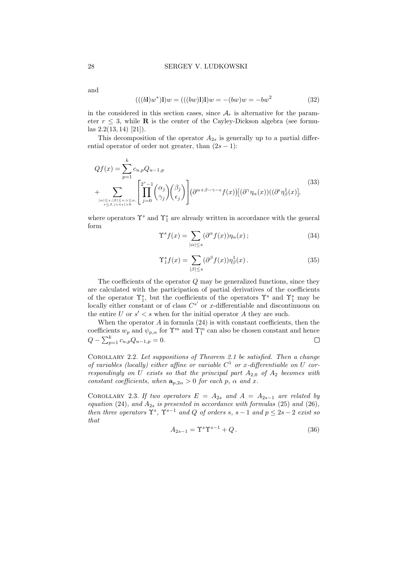and

$$
(((b\mathbf{l})w^*)\mathbf{l})w = (((bw)\mathbf{l})\mathbf{l})w = -(bw)w = -bw^2 \tag{32}
$$

in the considered in this section cases, since  $A_r$  is alternative for the parameter  $r \leq 3$ , while **R** is the center of the Cayley-Dickson algebra (see formulas 2.2(13, 14) [21]).

This decomposition of the operator  $A_{2s}$  is generally up to a partial differential operator of order not greater, than  $(2s - 1)$ :

$$
Qf(x) = \sum_{p=1}^{k} c_{u,p} Q_{u-1,p}
$$
  
+ 
$$
\sum_{\substack{|\alpha| \le s, |\beta| \le s; \gamma \le \alpha, \\ \epsilon \le \beta, |\gamma + \epsilon| > 0}} \left[ \prod_{j=0}^{2^v - 1} {\alpha_j \choose \gamma_j} {\beta_j \choose \epsilon_j} \right] (\partial^{\alpha+\beta-\gamma-\epsilon} f(x)) [(\partial^{\gamma} \eta_{\alpha}(x))((\partial^{\epsilon} \eta_{\beta}^1(x)],
$$

$$
(33)
$$

where operators  $\Upsilon^s$  and  $\Upsilon^s_1$  are already written in accordance with the general form

$$
\Upsilon^s f(x) = \sum_{|\alpha| \le s} (\partial^\alpha f(x)) \eta_\alpha(x) ; \tag{34}
$$

$$
\Upsilon_1^s f(x) = \sum_{|\beta| \le s} (\partial^\beta f(x)) \eta_\beta^1(x). \tag{35}
$$

The coefficients of the operator Q may be generalized functions, since they are calculated with the participation of partial derivatives of the coefficients of the operator  $\Upsilon_1^s$ , but the coefficients of the operators  $\Upsilon^s$  and  $\Upsilon_1^s$  may be locally either constant or of class  $C^{s'}$  or x-differentiable and discontinuous on the entire U or  $s' < s$  when for the initial operator A they are such.

When the operator  $A$  in formula  $(24)$  is with constant coefficients, then the coefficients  $w_p$  and  $\psi_{p,\alpha}$  for  $\Upsilon^m$  and  $\Upsilon^m_1$  can also be chosen constant and hence  $Q - \sum_{p=1}^{k} c_{u,p} Q_{u-1,p} = 0.$  $\Box$ 

Corollary 2.2. Let suppositions of Theorem 2.1 be satisfied. Then a change of variables (locally) either affine or variable  $C^1$  or x-differentiable on U correspondingly on U exists so that the principal part  $A_{2,0}$  of  $A_2$  becomes with constant coefficients, when  $\mathbf{a}_{p,2\alpha} > 0$  for each p,  $\alpha$  and x.

COROLLARY 2.3. If two operators  $E = A_{2s}$  and  $A = A_{2s-1}$  are related by equation (24), and  $A_{2s}$  is presented in accordance with formulas (25) and (26), then three operators  $\Upsilon^s$ ,  $\Upsilon^{s-1}$  and Q of orders s, s – 1 and  $p \leq 2s - 2$  exist so that

$$
A_{2s-1} = \Upsilon^s \Upsilon^{s-1} + Q. \tag{36}
$$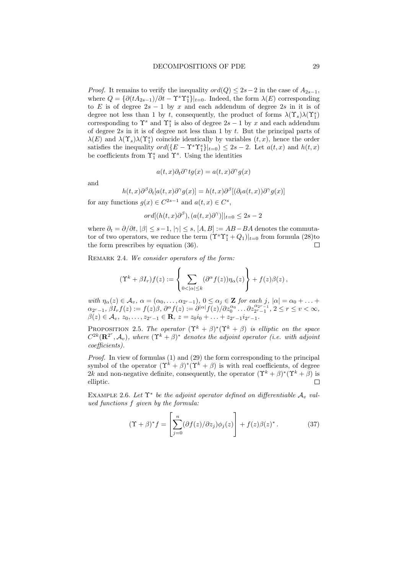*Proof.* It remains to verify the inequality  $ord(Q) \leq 2s-2$  in the case of  $A_{2s-1}$ , where  $Q = {\partial(tA_{2s-1})}/{\partial t} - \Upsilon^s \Upsilon_1^s\vert_{t=0}$ . Indeed, the form  $\lambda(E)$  corresponding to E is of degree  $2s - 1$  by x and each addendum of degree 2s in it is of degree not less than 1 by t, consequently, the product of forms  $\lambda(\Upsilon_s)\lambda(\Upsilon_s^s)$ corresponding to  $\Upsilon^s$  and  $\Upsilon^s_1$  is also of degree  $2s - 1$  by x and each addendum of degree  $2s$  in it is of degree not less than 1 by t. But the principal parts of  $\lambda(E)$  and  $\lambda(\Upsilon_s)\lambda(\Upsilon_1^s)$  coincide identically by variables  $(t, x)$ , hence the order satisfies the inequality  $ord({E - \Upsilon^s \Upsilon_1^s}|_{t=0}) \leq 2s - 2$ . Let  $a(t, x)$  and  $h(t, x)$ be coefficients from  $\Upsilon_1^s$  and  $\Upsilon_s^s$ . Using the identities

$$
a(t,x)\partial_t\partial^\gamma tg(x)=a(t,x)\partial^\gamma g(x)
$$

and

$$
h(t,x)\partial^{\beta}\partial_t[a(t,x)\partial^{\gamma}g(x)] = h(t,x)\partial^{\beta}[(\partial_t a(t,x))\partial^{\gamma}g(x)]
$$

for any functions  $g(x) \in C^{2s-1}$  and  $a(t, x) \in C^s$ ,

 $ord[(h(t, x)\partial^{\beta}), (a(t, x)\partial^{\gamma})]|_{t=0} \leq 2s-2$ 

where  $\partial_t = \partial/\partial t$ ,  $|\beta| \leq s-1$ ,  $|\gamma| \leq s$ ,  $[A, B] := AB - BA$  denotes the commutator of two operators, we reduce the term  $(\Upsilon^s \Upsilon_1^s + Q_1)|_{t=0}$  from formula (28)to the form prescribes by equation (36).

REMARK 2.4. We consider operators of the form:

$$
(\Upsilon^k + \beta I_r) f(z) := \left\{ \sum_{0 < |\alpha| \leq k} (\partial^\alpha f(z)) \eta_\alpha(z) \right\} + f(z) \beta(z),
$$

with  $\eta_{\alpha}(z) \in \mathcal{A}_{v}$ ,  $\alpha = (\alpha_{0}, \ldots, \alpha_{2^{r}-1})$ ,  $0 \leq \alpha_{j} \in \mathbf{Z}$  for each j,  $|\alpha| = \alpha_{0} + \ldots +$  $\alpha_{2^r-1}, \beta I_r f(z) := f(z) \beta, \partial^\alpha f(z) := \partial^{|\alpha|} \overline{f(z)}/\partial z_0^{\alpha_0} \dots \partial z_{2^r-1}^{\alpha_{2^r-1}}, \, 2 \leq r \leq v < \infty,$  $\beta(z) \in \mathcal{A}_{v}, z_0, \ldots, z_{2^r-1} \in \mathbf{R}, z = z_0 i_0 + \ldots + z_{2^r-1} i_{2^r-1}.$ 

PROPOSITION 2.5. The operator  $({\Upsilon}^k + \beta)^*({\Upsilon}^k + \beta)$  is elliptic on the space  $C^{2k}(\mathbf{R}^{2^{r}}, \mathcal{A}_{v})$ , where  $(\Upsilon^{k} + \beta)^{*}$  denotes the adjoint operator (i.e. with adjoint coefficients).

*Proof.* In view of formulas  $(1)$  and  $(29)$  the form corresponding to the principal symbol of the operator  $({\Upsilon}^k + \beta)^*({\Upsilon}^k + \beta)$  is with real coefficients, of degree 2k and non-negative definite, consequently, the operator  $({\Upsilon}^k + \beta)^*({\Upsilon}^k + \beta)$  is  $\Box$ elliptic.

EXAMPLE 2.6. Let  $\Upsilon^*$  be the adjoint operator defined on differentiable  $\mathcal{A}_v$  valued functions f given by the formula:

$$
(\Upsilon + \beta)^* f = \left[ \sum_{j=0}^n (\partial f(z)/\partial z_j) \phi_j(z) \right] + f(z) \beta(z)^*.
$$
 (37)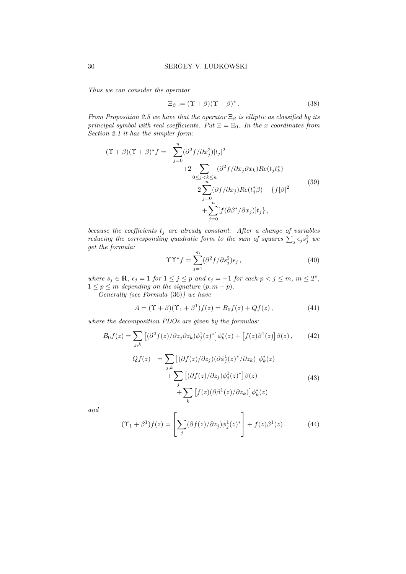Thus we can consider the operator

$$
\Xi_{\beta} := (\Upsilon + \beta)(\Upsilon + \beta)^* \,. \tag{38}
$$

From Proposition 2.5 we have that the operator  $\Xi_{\beta}$  is elliptic as classified by its principal symbol with real coefficients. Put  $\Xi = \Xi_0$ . In the x coordinates from Section 2.1 it has the simpler form:

$$
(\Upsilon + \beta)(\Upsilon + \beta)^* f = \sum_{j=0}^n (\partial^2 f / \partial x_j^2) |t_j|^2
$$
  
+2
$$
\sum_{0 \le j < k \le n} (\partial^2 f / \partial x_j \partial x_k) Re(t_j t_k^*)
$$
  
+2
$$
\sum_{j=0}^n (\partial f / \partial x_j) Re(t_j^* \beta) + \{f | \beta |^2
$$
  
+
$$
\sum_{j=0}^n [f (\partial \beta^* / \partial x_j)] t_j \},
$$
\n
$$
(39)
$$

because the coefficients  $t_j$  are already constant. After a change of variables reducing the corresponding quadratic form to the sum of squares  $\sum_j \epsilon_j s_j^2$  we get the formula:

$$
\Upsilon \Upsilon^* f = \sum_{j=1}^m (\partial^2 f / \partial s_j^2) \epsilon_j , \qquad (40)
$$

where  $s_j \in \mathbf{R}$ ,  $\epsilon_j = 1$  for  $1 \leq j \leq p$  and  $\epsilon_j = -1$  for each  $p < j \leq m$ ,  $m \leq 2^v$ ,  $1 \leq p \leq m$  depending on the signature  $(p, m-p)$ .

Generally (see Formula (36)) we have

$$
A = (\Upsilon + \beta)(\Upsilon_1 + \beta^1)f(z) = B_0f(z) + Qf(z), \qquad (41)
$$

where the decomposition PDOs are given by the formulas:

k

$$
B_0 f(z) = \sum_{j,k} \left[ (\partial^2 f(z) / \partial z_j \partial z_k) \phi_j^1(z)^* \right] \phi_k^*(z) + \left[ f(z) \beta^1(z) \right] \beta(z), \qquad (42)
$$
  

$$
Qf(z) = \sum_{j,k} \left[ (\partial f(z) / \partial z_j) (\partial \phi_j^1(z)^* / \partial z_k) \right] \phi_k^*(z)
$$
  

$$
+ \sum_j \left[ (\partial f(z) / \partial z_j) \phi_j^1(z)^* \right] \beta(z) \qquad (43)
$$
  

$$
+ \sum_j \left[ f(z) (\partial \beta^1(z) / \partial z_k) \right] \phi_k^*(z)
$$

and

$$
(\Upsilon_1 + \beta^1) f(z) = \left[ \sum_j (\partial f(z) / \partial z_j) \phi_j^1(z)^* \right] + f(z) \beta^1(z). \tag{44}
$$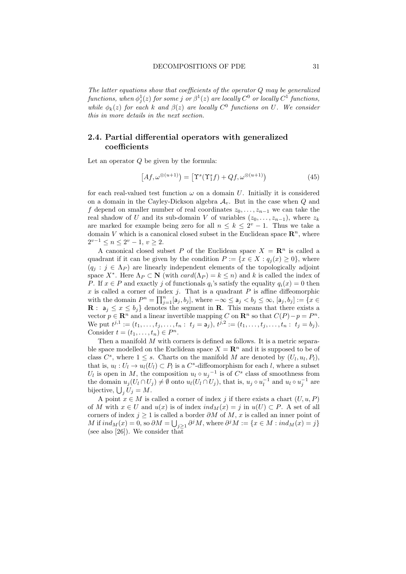The latter equations show that coefficients of the operator Q may be generalized  $\emph{functions, when $\phi_j^1(z)$ for some $j$ or $\beta^1(z)$ are locally $C^0$ or locally $C^1$ functions,}$ while  $\phi_k(z)$  for each k and  $\beta(z)$  are locally  $C^0$  functions on U. We consider this in more details in the next section.

### 2.4. Partial differential operators with generalized coefficients

Let an operator Q be given by the formula:

$$
[Af, \omega^{\otimes (u+1)}) = [\Upsilon^s(\Upsilon_1^s f) + Qf, \omega^{\otimes (u+1)}) \tag{45}
$$

for each real-valued test function  $\omega$  on a domain U. Initially it is considered on a domain in the Cayley-Dickson algebra  $A_v$ . But in the case when  $Q$  and f depend on smaller number of real coordinates  $z_0, \ldots, z_{n-1}$  we can take the real shadow of U and its sub-domain V of variables  $(z_0, \ldots, z_{n-1})$ , where  $z_k$ are marked for example being zero for all  $n \leq k \leq 2^v - 1$ . Thus we take a domain V which is a canonical closed subset in the Euclidean space  $\mathbb{R}^n$ , where  $2^{v-1} \le n \le 2^v - 1, v \ge 2.$ 

A canonical closed subset P of the Euclidean space  $X = \mathbb{R}^n$  is called a quadrant if it can be given by the condition  $P := \{x \in X : q_i(x) \geq 0\}$ , where  $(q_i : j \in \Lambda_P)$  are linearly independent elements of the topologically adjoint space  $X^*$ . Here  $\Lambda_P \subset \mathbf{N}$  (with  $card(\Lambda_P) = k \leq n$ ) and k is called the index of P. If  $x \in P$  and exactly j of functionals  $q_i$ 's satisfy the equality  $q_i(x) = 0$  then  $x$  is called a corner of index  $j$ . That is a quadrant  $P$  is affine diffeomorphic with the domain  $P^n = \prod_{j=1}^n [a_j, b_j]$ , where  $-\infty \le a_j < b_j \le \infty$ ,  $[a_j, b_j] := \{x \in$ **R** :  $a_j \leq x \leq b_j$  denotes the segment in **R**. This means that there exists a vector  $p \in \mathbb{R}^n$  and a linear invertible mapping C on  $\mathbb{R}^n$  so that  $C(P) - p = P^n$ . We put  $t^{j,1} := (t_1, \ldots, t_j, \ldots, t_n : t_j = \mathsf{a}_j), t^{j,2} := (t_1, \ldots, t_j, \ldots, t_n : t_j = b_j).$ Consider  $t = (t_1, \ldots, t_n) \in P^n$ .

Then a manifold  $M$  with corners is defined as follows. It is a metric separable space modelled on the Euclidean space  $X = \mathbb{R}^n$  and it is supposed to be of class  $C^s$ , where  $1 \leq s$ . Charts on the manifold M are denoted by  $(U_l, u_l, P_l)$ , that is,  $u_l: U_l \to u_l(U_l) \subset P_l$  is a  $C^s$ -diffeomorphism for each l, where a subset  $U_l$  is open in M, the composition  $u_l \circ u_j^{-1}$  is of  $C^s$  class of smoothness from the domain  $u_j(U_l \cap U_j) \neq \emptyset$  onto  $u_l(U_l \cap U_j)$ , that is,  $u_j \circ u_l^{-1}$  and  $u_l \circ u_j^{-1}$  are bijective,  $\bigcup_j U_j = M$ .

A point  $x \in M$  is called a corner of index j if there exists a chart  $(U, u, P)$ of M with  $x \in U$  and  $u(x)$  is of index  $ind_M(x) = j$  in  $u(U) \subset P$ . A set of all corners of index  $j \geq 1$  is called a border  $\partial M$  of  $M, x$  is called an inner point of M if  $ind_M(x) = 0$ , so  $\partial M = \bigcup_{j \geq 1} \partial^j M$ , where  $\partial^j M := \{x \in M : ind_M(x) = j\}$ (see also [26]). We consider that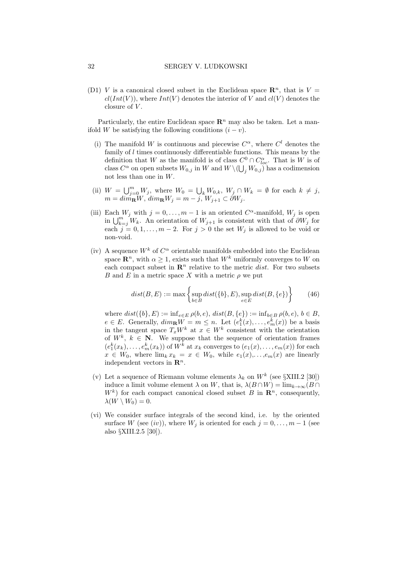(D1) V is a canonical closed subset in the Euclidean space  $\mathbb{R}^n$ , that is  $V =$  $cl(int(V))$ , where  $Int(V)$  denotes the interior of V and  $cl(V)$  denotes the closure of  $V$ .

Particularly, the entire Euclidean space  $\mathbb{R}^n$  may also be taken. Let a manifold W be satisfying the following conditions  $(i - v)$ .

- (i) The manifold W is continuous and piecewise  $C^{\alpha}$ , where  $C^{l}$  denotes the family of  $l$  times continuously differentiable functions. This means by the definition that W as the manifold is of class  $C^0 \cap C^{\alpha}_{loc}$ . That is W is of class  $C^{\alpha}$  on open subsets  $W_{0,j}$  in W and  $W \setminus \left(\bigcup_j W_{0,j}\right)$  has a codimension not less than one in W.
- (ii)  $W = \bigcup_{j=0}^{m} W_j$ , where  $W_0 = \bigcup_k W_{0,k}$ ,  $W_j \cap W_k = \emptyset$  for each  $k \neq j$ ,  $m = dim_{\mathbf{R}}W, dim_{\mathbf{R}}W_j = m - j, W_{j+1} \subset \partial W_j.$
- (iii) Each  $W_j$  with  $j = 0, \ldots, m-1$  is an oriented  $C^{\alpha}$ -manifold,  $W_j$  is open in  $\bigcup_{k=j}^m W_k$ . An orientation of  $W_{j+1}$  is consistent with that of  $\partial W_j$  for each  $j = 0, 1, ..., m - 2$ . For  $j > 0$  the set  $W_j$  is allowed to be void or non-void.
- (iv) A sequence  $W^k$  of  $C^{\alpha}$  orientable manifolds embedded into the Euclidean space  $\mathbb{R}^n$ , with  $\alpha > 1$ , exists such that  $W^k$  uniformly converges to W on each compact subset in  $\mathbb{R}^n$  relative to the metric *dist*. For two subsets B and E in a metric space X with a metric  $\rho$  we put

$$
dist(B, E) := \max\left\{\sup_{b \in B} dist(\{b\}, E), \sup_{e \in E} dist(B, \{e\})\right\} \tag{46}
$$

where  $dist({b}, E) := \inf_{e \in E} \rho(b, e), dist(B, {e}) := \inf_{b \in B} \rho(b, e), b \in B$ ,  $e \in E$ . Generally,  $dim_{\mathbf{R}} W = m \leq n$ . Let  $(e_1^k(x), \ldots, e_m^k(x))$  be a basis in the tangent space  $T_xW^k$  at  $x \in W^k$  consistent with the orientation of  $W^k$ ,  $k \in \mathbb{N}$ . We suppose that the sequence of orientation frames  $(e_1^k(x_k), \ldots, e_m^k(x_k))$  of  $W^k$  at  $x_k$  converges to  $(e_1(x), \ldots, e_m(x))$  for each  $x \in W_0$ , where  $\lim_k x_k = x \in W_0$ , while  $e_1(x), \ldots, e_m(x)$  are linearly independent vectors in  $\mathbb{R}^n$ .

- (v) Let a sequence of Riemann volume elements  $\lambda_k$  on  $W^k$  (see §XIII.2 [30]) induce a limit volume element  $\lambda$  on W, that is,  $\lambda(B \cap W) = \lim_{k \to \infty} (B \cap$  $W^k$ ) for each compact canonical closed subset B in  $\mathbb{R}^n$ , consequently,  $\lambda(W \setminus W_0) = 0.$
- (vi) We consider surface integrals of the second kind, i.e. by the oriented surface W (see  $(iv)$ ), where  $W_j$  is oriented for each  $j = 0, \ldots, m - 1$  (see also §XIII.2.5 [30]).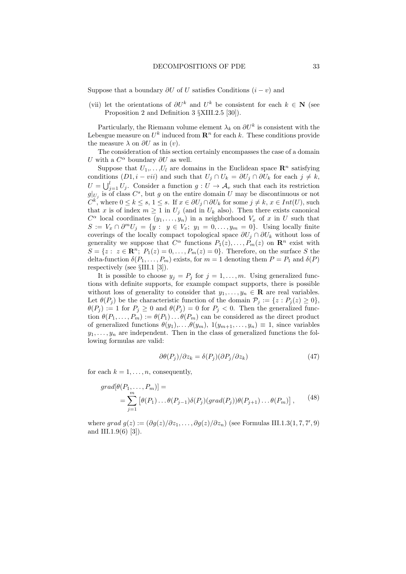Suppose that a boundary  $\partial U$  of U satisfies Conditions  $(i - v)$  and

(vii) let the orientations of  $\partial U^k$  and  $U^k$  be consistent for each  $k \in \mathbb{N}$  (see Proposition 2 and Definition 3 §XIII.2.5 [30]).

Particularly, the Riemann volume element  $\lambda_k$  on  $\partial U^k$  is consistent with the Lebesgue measure on  $U^k$  induced from  $\mathbb{R}^n$  for each k. These conditions provide the measure  $\lambda$  on  $\partial U$  as in  $(v)$ .

The consideration of this section certainly encompasses the case of a domain U with a  $C^{\alpha}$  boundary  $\partial U$  as well.

Suppose that  $U_1, \ldots, U_l$  are domains in the Euclidean space  $\mathbb{R}^n$  satisfying conditions  $(D1, i - vii)$  and such that  $U_i \cap U_k = \partial U_i \cap \partial U_k$  for each  $j \neq k$ ,  $U = \bigcup_{j=1}^{l} U_j$ . Consider a function  $g: U \to \mathcal{A}_v$  such that each its restriction  $g|_{U_j}$  is of class  $C^s$ , but g on the entire domain U may be discontinuous or not  $C^{k}$ , where  $0 \leq k \leq s, 1 \leq s$ . If  $x \in \partial U_j \cap \partial U_k$  for some  $j \neq k, x \in Int(U)$ , such that x is of index  $m \ge 1$  in  $U_j$  (and in  $U_k$  also). Then there exists canonical  $C^{\alpha}$  local coordinates  $(y_1, \ldots, y_n)$  in a neighborhood  $V_x$  of x in U such that  $S := V_x \cap \partial^m U_j = \{y : y \in V_x; y_1 = 0, \ldots, y_m = 0\}.$  Using locally finite coverings of the locally compact topological space  $\partial U_j \cap \partial U_k$  without loss of generality we suppose that  $C^{\alpha}$  functions  $P_1(z), \ldots, P_m(z)$  on  $\mathbb{R}^n$  exist with  $S = \{z : z \in \mathbb{R}^n; P_1(z) = 0, \ldots, P_m(z) = 0\}.$  Therefore, on the surface S the delta-function  $\delta(P_1, \ldots, P_m)$  exists, for  $m = 1$  denoting them  $P = P_1$  and  $\delta(P)$ respectively (see §III.1 [3]).

It is possible to choose  $y_j = P_j$  for  $j = 1, ..., m$ . Using generalized functions with definite supports, for example compact supports, there is possible without loss of generality to consider that  $y_1, \ldots, y_n \in \mathbf{R}$  are real variables. Let  $\theta(P_j)$  be the characteristic function of the domain  $\mathcal{P}_j := \{z : P_j(z) \geq 0\},\$  $\theta(P_j) := 1$  for  $P_j \ge 0$  and  $\theta(P_j) = 0$  for  $P_j < 0$ . Then the generalized function  $\theta(P_1,\ldots,P_m) := \theta(P_1)\ldots\theta(P_m)$  can be considered as the direct product of generalized functions  $\theta(y_1), \ldots, \theta(y_m), 1(y_{m+1}, \ldots, y_n) \equiv 1$ , since variables  $y_1, \ldots, y_n$  are independent. Then in the class of generalized functions the following formulas are valid:

$$
\partial \theta(P_j) / \partial z_k = \delta(P_j) (\partial P_j / \partial z_k)
$$
\n(47)

for each  $k = 1, \ldots, n$ , consequently,

$$
grad[\theta(P_1,\ldots,P_m)] =
$$
  
= 
$$
\sum_{j=1}^m [\theta(P_1)\ldots\theta(P_{j-1})\delta(P_j)(grad(P_j))\theta(P_{j+1})\ldots\theta(P_m)],
$$
 (48)

where grad  $g(z) := (\partial g(z)/\partial z_1, \dots, \partial g(z)/\partial z_n)$  (see Formulas III.1.3(1,7,7',9) and III.1.9(6) [3]).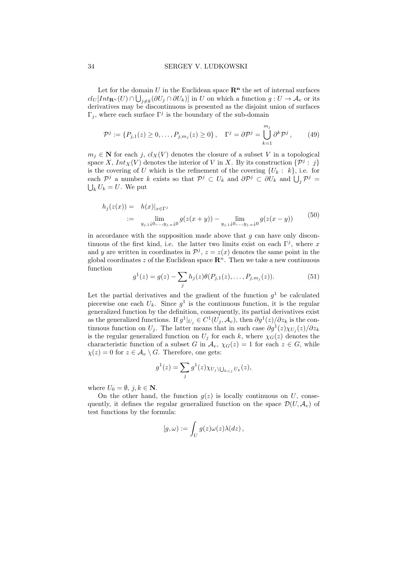#### 34 SERGEY V. LUDKOWSKI

Let for the domain U in the Euclidean space  $\mathbb{R}^n$  the set of internal surfaces  $cl_U[Int_{\mathbf{R}^n}(U) \cap \bigcup_{j \neq k} (\partial U_j \cap \partial U_k)]$  in U on which a function  $g: U \to \mathcal{A}_v$  or its derivatives may be discontinuous is presented as the disjoint union of surfaces  $\Gamma_j$ , where each surface  $\Gamma^j$  is the boundary of the sub-domain

$$
\mathcal{P}^j := \{ P_{j,1}(z) \ge 0, \dots, P_{j,m_j}(z) \ge 0 \}, \quad \Gamma^j = \partial \mathcal{P}^j = \bigcup_{k=1}^{m_j} \partial^k \mathcal{P}^j , \qquad (49)
$$

 $m_i \in \mathbf{N}$  for each j,  $cl_X(V)$  denotes the closure of a subset V in a topological space X,  $Int_X(V)$  denotes the interior of V in X. By its construction  $\{\mathcal{P}^j : j\}$ is the covering of U which is the refinement of the covering  $\{U_k : k\}$ , i.e. for each  $\mathcal{P}^j$  a number k exists so that  $\mathcal{P}^j \subset U_k$  and  $\partial \mathcal{P}^j \subset \partial U_k$  and  $\bigcup_j \mathcal{P}^j =$  $\bigcup_k U_k = U$ . We put

$$
h_j(z(x)) = h(x)|_{x \in \Gamma^j}
$$
  
 :=  $\lim_{y_{j,1} \downarrow 0, ..., y_{j,n} \downarrow 0} g(z(x+y)) - \lim_{y_{j,1} \downarrow 0, ..., y_{j,n} \downarrow 0} g(z(x-y))$  (50)

in accordance with the supposition made above that  $g$  can have only discontinuous of the first kind, i.e. the latter two limits exist on each  $\Gamma^j$ , where x and y are written in coordinates in  $\mathcal{P}^j$ ,  $z = z(x)$  denotes the same point in the global coordinates z of the Euclidean space  $\mathbb{R}^n$ . Then we take a new continuous function

$$
g^{1}(z) = g(z) - \sum_{j} h_{j}(z)\theta(P_{j,1}(z), \dots, P_{j,m_{j}}(z)).
$$
\n(51)

Let the partial derivatives and the gradient of the function  $g^1$  be calculated piecewise one each  $U_k$ . Since  $g^1$  is the continuous function, it is the regular generalized function by the definition, consequently, its partial derivatives exist as the generalized functions. If  $g^1|_{U_j} \in C^1(U_j, \mathcal{A}_v)$ , then  $\partial g^1(z)/\partial z_k$  is the continuous function on U<sub>j</sub>. The latter means that in such case  $\partial g^1(z)\chi_{U_j}(z)/\partial z_k$ is the regular generalized function on  $U_i$  for each k, where  $\chi_G(z)$  denotes the characteristic function of a subset G in  $\mathcal{A}_v$ ,  $\chi_G(z) = 1$  for each  $z \in G$ , while  $\chi(z) = 0$  for  $z \in A_v \setminus G$ . Therefore, one gets:

$$
g^{1}(z) = \sum_{j} g^{1}(z) \chi_{U_{j} \setminus \bigcup_{k < j} U_{k}}(z),
$$

where  $U_0 = \emptyset$ ,  $j, k \in \mathbb{N}$ .

On the other hand, the function  $g(z)$  is locally continuous on U, consequently, it defines the regular generalized function on the space  $\mathcal{D}(U, \mathcal{A}_v)$  of test functions by the formula:

$$
[g,\omega) := \int_U g(z)\omega(z)\lambda(dz)\,,
$$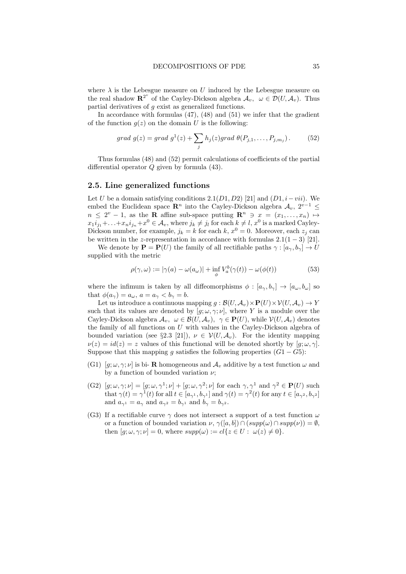where  $\lambda$  is the Lebesgue measure on U induced by the Lebesgue measure on the real shadow  $\mathbf{R}^{2^v}$  of the Cayley-Dickson algebra  $\mathcal{A}_v$ ,  $\omega \in \mathcal{D}(U, \mathcal{A}_v)$ . Thus partial derivatives of g exist as generalized functions.

In accordance with formulas  $(47)$ ,  $(48)$  and  $(51)$  we infer that the gradient of the function  $g(z)$  on the domain U is the following:

$$
grad\ g(z) = grad\ g^{1}(z) + \sum_{j} h_{j}(z) grad\ \theta(P_{j,1}, \ldots, P_{j,m_{j}}). \tag{52}
$$

Thus formulas (48) and (52) permit calculations of coefficients of the partial differential operator Q given by formula (43).

### 2.5. Line generalized functions

Let U be a domain satisfying conditions 2.1(D1, D2) [21] and  $(D1, i-vii)$ . We embed the Euclidean space  $\mathbb{R}^n$  into the Cayley-Dickson algebra  $\mathcal{A}_v$ ,  $2^{v-1} \leq$  $n \leq 2^v - 1$ , as the **R** affine sub-space putting  $\mathbb{R}^n \ni x = (x_1, \ldots, x_n) \mapsto$  $x_1i_{j_1} + \ldots + x_ni_{j_n} + x^0 \in \mathcal{A}_v$ , where  $j_k \neq j_l$  for each  $k \neq l$ ,  $x^0$  is a marked Cayley-Dickson number, for example,  $j_k = k$  for each  $k, x^0 = 0$ . Moreover, each  $z_j$  can be written in the z-representation in accordance with formulas  $2.1(1-3)$  [21].

We denote by  $\mathbf{P} = \mathbf{P}(U)$  the family of all rectifiable paths  $\gamma : [a_{\gamma}, b_{\gamma}] \to U$ supplied with the metric

$$
\rho(\gamma,\omega) := |\gamma(a) - \omega(a_{\omega})| + \inf_{\phi} V_a^b(\gamma(t)) - \omega(\phi(t)) \tag{53}
$$

where the infimum is taken by all diffeomorphisms  $\phi : [a_{\gamma}, b_{\gamma}] \rightarrow [a_{\omega}, b_{\omega}]$  so that  $\phi(a_{\gamma}) = a_{\omega}, a = a_{\gamma} < b_{\gamma} = b.$ 

Let us introduce a continuous mapping  $g : \mathcal{B}(U, \mathcal{A}_v) \times \mathbf{P}(U) \times \mathcal{V}(U, \mathcal{A}_v) \to Y$ such that its values are denoted by  $[g; \omega, \gamma; \nu]$ , where Y is a module over the Cayley-Dickson algebra  $\mathcal{A}_v, \ \omega \in \mathcal{B}(U, \mathcal{A}_v), \ \gamma \in \mathbf{P}(U)$ , while  $\mathcal{V}(U, \mathcal{A}_v)$  denotes the family of all functions on  $U$  with values in the Cayley-Dickson algebra of bounded variation (see §2.3 [21]),  $\nu \in V(U, \mathcal{A}_v)$ . For the identity mapping  $\nu(z) = id(z) = z$  values of this functional will be denoted shortly by  $[g; \omega, \gamma]$ . Suppose that this mapping g satisfies the following properties  $(G1 - G5)$ :

- (G1) [g;  $\omega, \gamma; \nu$ ] is bi- **R** homogeneous and  $\mathcal{A}_v$  additive by a test function  $\omega$  and by a function of bounded variation  $\nu$ ;
- (G2)  $[g; \omega, \gamma; \nu] = [g; \omega, \gamma^1; \nu] + [g; \omega, \gamma^2; \nu]$  for each  $\gamma, \gamma^1$  and  $\gamma^2 \in \mathbf{P}(U)$  such that  $\gamma(t) = \gamma^1(t)$  for all  $t \in [a_{\gamma^1}, b_{\gamma^1}]$  and  $\gamma(t) = \gamma^2(t)$  for any  $t \in [a_{\gamma^2}, b_{\gamma^2}]$ and  $a_{\gamma^1} = a_{\gamma}$  and  $a_{\gamma^2} = b_{\gamma^1}$  and  $b_{\gamma} = b_{\gamma^2}$ .
- (G3) If a rectifiable curve  $\gamma$  does not intersect a support of a test function  $\omega$ or a function of bounded variation  $\nu$ ,  $\gamma([a, b]) \cap (supp(\omega) \cap supp(\nu)) = \emptyset$ , then  $[g; \omega, \gamma; \nu] = 0$ , where  $supp(\omega) := cl\{z \in U : \omega(z) \neq 0\}.$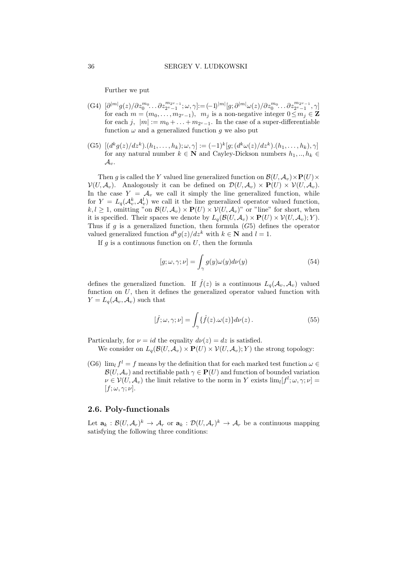Further we put

- $(G4) \ [\partial^{|m|} g(z) / \partial z_0^{m_0} \dots \partial z_{2^{\nu}-1}^{m_{2^{\nu}-1}}; \omega, \gamma] \coloneqq (-1)^{|m|} [g; \partial^{|m|} \omega(z) / \partial z_0^{m_0} \dots \partial z_{2^{\nu}-1}^{m_{2^{\nu}-1}}, \gamma]$ for each  $m = (m_0, \ldots, m_{2^v-1}), m_j$  is a non-negative integer  $0 \leq m_j \in \mathbf{Z}$ for each  $j, |m| := m_0 + \ldots + m_{2^v-1}$ . In the case of a super-differentiable function  $\omega$  and a generalized function g we also put
- (G5)  $[(d^k g(z)/dz^k).(h_1, \ldots, h_k); \omega, \gamma] := (-1)^k [g; (d^k \omega(z)/dz^k).(h_1, \ldots, h_k), \gamma]$ for any natural number  $k \in \mathbb{N}$  and Cayley-Dickson numbers  $h_1, ..., h_k \in$  $\mathcal{A}_v$ .

Then g is called the Y valued line generalized function on  $\mathcal{B}(U, \mathcal{A}_v) \times \mathbf{P}(U) \times$  $\mathcal{V}(U, \mathcal{A}_v)$ . Analogously it can be defined on  $\mathcal{D}(U, \mathcal{A}_v) \times \mathbf{P}(U) \times \mathcal{V}(U, \mathcal{A}_v)$ . In the case  $Y = A_v$  we call it simply the line generalized function, while for  $Y = L_q(\mathcal{A}_v^k, \mathcal{A}_v^l)$  we call it the line generalized operator valued function,  $k, l \geq 1$ , omitting "on  $\mathcal{B}(U, \mathcal{A}_v) \times \mathbf{P}(U) \times \mathcal{V}(U, \mathcal{A}_v)$ " or "line" for short, when it is specified. Their spaces we denote by  $L_q(\mathcal{B}(U, \mathcal{A}_v) \times \mathbf{P}(U) \times \mathcal{V}(U, \mathcal{A}_v); Y)$ . Thus if g is a generalized function, then formula  $(G5)$  defines the operator valued generalized function  $d^k g(z)/dz^k$  with  $k \in \mathbb{N}$  and  $l = 1$ .

If  $q$  is a continuous function on  $U$ , then the formula

$$
[g; \omega, \gamma; \nu] = \int_{\gamma} g(y)\omega(y)d\nu(y)
$$
\n(54)

defines the generalized function. If  $\hat{f}(z)$  is a continuous  $L_q(\mathcal{A}_v, \mathcal{A}_v)$  valued function on  $U$ , then it defines the generalized operator valued function with  $Y = L_q(\mathcal{A}_v, \mathcal{A}_v)$  such that

$$
[\hat{f}; \omega, \gamma; \nu] = \int_{\gamma} {\{\hat{f}(z) . \omega(z)\} d\nu(z)}.
$$
 (55)

Particularly, for  $\nu = id$  the equality  $d\nu(z) = dz$  is satisfied.

We consider on  $L_q(\mathcal{B}(U,\mathcal{A}_v)\times\mathbf{P}(U)\times\mathcal{V}(U,\mathcal{A}_v);Y)$  the strong topology:

(G6)  $\lim_{l} f^{l} = f$  means by the definition that for each marked test function  $\omega \in$  $\mathcal{B}(U, \mathcal{A}_v)$  and rectifiable path  $\gamma \in \mathbf{P}(U)$  and function of bounded variation  $\nu \in \mathcal{V}(U, \mathcal{A}_v)$  the limit relative to the norm in Y exists  $\lim_{l} [f^l; \omega, \gamma; \nu] =$  $[f; \omega, \gamma; \nu].$ 

### 2.6. Poly-functionals

Let  $\mathbf{a}_k : \mathcal{B}(U, \mathcal{A}_r)^k \to \mathcal{A}_r$  or  $\mathbf{a}_k : \mathcal{D}(U, \mathcal{A}_r)^k \to \mathcal{A}_r$  be a continuous mapping satisfying the following three conditions: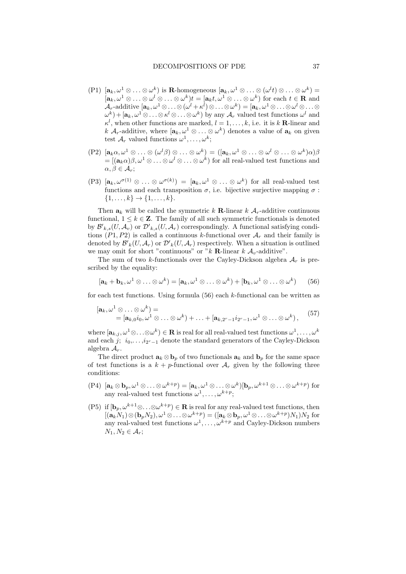- (P1)  $[\mathbf{a}_k, \omega^1 \otimes \ldots \otimes \omega^k)$  is **R**-homogeneous  $[\mathbf{a}_k, \omega^1 \otimes \ldots \otimes (\omega^l t) \otimes \ldots \otimes \omega^k)$  =  $[\mathbf{a}_k, \omega^1 \otimes \ldots \otimes \omega^l \otimes \ldots \otimes \omega^k)t = [\mathbf{a}_k t, \omega^1 \otimes \ldots \otimes \omega^k]$  for each  $t \in \mathbf{R}$  and  $\mathcal{A}_r\text{-additive}\left[\mathbf{a}_k,\omega^1\otimes\ldots\otimes(\omega^l+\kappa^l)\otimes\ldots\otimes\omega^k\right) = \left[\mathbf{a}_k,\omega^1\otimes\ldots\otimes\omega^l\otimes\ldots\otimes\omega^k\right]$  $(\omega^k) + [\mathbf{a}_k, \omega^1 \otimes \ldots \otimes \mathbf{a}^l \otimes \ldots \otimes \omega^k)$  by any  $\mathcal{A}_r$  valued test functions  $\omega^l$  and  $\kappa^l$ , when other functions are marked,  $l = 1, \ldots, k$ , i.e. it is k **R**-linear and k  $\mathcal{A}_r$ -additive, where  $[\mathbf{a}_k, \omega^1 \otimes \ldots \otimes \omega^k)$  denotes a value of  $\mathbf{a}_k$  on given test  $\mathcal{A}_r$  valued functions  $\omega^1, \ldots, \omega^k$ ;
- $(P2)$   $[\mathbf{a}_k \alpha, \omega^1 \otimes \ldots \otimes (\omega^l \beta) \otimes \ldots \otimes \omega^k) = ([\mathbf{a}_k, \omega^1 \otimes \ldots \otimes \omega^l \otimes \ldots \otimes \omega^k) \alpha] \beta$  $=[(\mathbf{a}_k \alpha)\beta, \omega^1\otimes\ldots\otimes\omega^l\otimes\ldots\otimes\omega^k)$  for all real-valued test functions and  $\alpha, \beta \in \mathcal{A}_r$ ;
- $(P3)$   $[\mathbf{a}_k, \omega^{\sigma(1)} \otimes \ldots \otimes \omega^{\sigma(k)}) = [\mathbf{a}_k, \omega^1 \otimes \ldots \otimes \omega^k)$  for all real-valued test functions and each transposition  $\sigma$ , i.e. bijective surjective mapping  $\sigma$ :  $\{1, \ldots, k\} \rightarrow \{1, \ldots, k\}.$

Then  $a_k$  will be called the symmetric k **R**-linear k  $A_r$ -additive continuous functional,  $1 \leq k \in \mathbb{Z}$ . The family of all such symmetric functionals is denoted by  $\mathcal{B'}_{k,s}(U,\mathcal{A}_v)$  or  $\mathcal{D'}_{k,s}(U,\mathcal{A}_r)$  correspondingly. A functional satisfying conditions  $(P_1, P_2)$  is called a continuous k-functional over  $\mathcal{A}_r$  and their family is denoted by  ${\mathcal B}'_k(U,{\mathcal A}_r)$  or  ${\mathcal D}'_k(U,{\mathcal A}_r)$  respectively. When a situation is outlined we may omit for short "continuous" or "k R-linear k  $\mathcal{A}_v$ -additive".

The sum of two k-functionals over the Cayley-Dickson algebra  $A_r$  is prescribed by the equality:

$$
[\mathbf{a}_k + \mathbf{b}_k, \omega^1 \otimes \ldots \otimes \omega^k] = [\mathbf{a}_k, \omega^1 \otimes \ldots \otimes \omega^k) + [\mathbf{b}_k, \omega^1 \otimes \ldots \otimes \omega^k) \qquad (56)
$$

for each test functions. Using formula  $(56)$  each k-functional can be written as

$$
[\mathbf{a}_k, \omega^1 \otimes \ldots \otimes \omega^k] =
$$
  
=  $[\mathbf{a}_{k,0}i_0, \omega^1 \otimes \ldots \otimes \omega^k) + \ldots + [\mathbf{a}_{k,2^r-1}i_{2^r-1}, \omega^1 \otimes \ldots \otimes \omega^k),$  (57)

where  $[\mathbf{a}_{k,j},\omega^1\otimes\ldots\otimes\omega^k)\in\mathbf{R}$  is real for all real-valued test functions  $\omega^1,\ldots,\omega^k$ and each  $j; i_0, \ldots, i_{2r-1}$  denote the standard generators of the Cayley-Dickson algebra  $A_r$ .

The direct product  $\mathbf{a}_k \otimes \mathbf{b}_p$  of two functionals  $\mathbf{a}_k$  and  $\mathbf{b}_p$  for the same space of test functions is a  $k + p$ -functional over  $\mathcal{A}_r$  given by the following three conditions:

- $(P4)$   $[\mathbf{a}_k \otimes \mathbf{b}_p, \omega^1 \otimes \ldots \otimes \omega^{k+p}) = [\mathbf{a}_k, \omega^1 \otimes \ldots \otimes \omega^k] [\mathbf{b}_p, \omega^{k+1} \otimes \ldots \otimes \omega^{k+p})$  for any real-valued test functions  $\omega^1, \ldots, \omega^{k+p}$ ;
- (P5) if  $[\mathbf{b}_p, \omega^{k+1} \otimes \ldots \otimes \omega^{k+p}) \in \mathbf{R}$  is real for any real-valued test functions, then  $[(\mathbf{a}_k N_1) \otimes (\mathbf{b}_p N_2), \omega^1 \otimes \ldots \otimes \omega^{k+p}) = ([\mathbf{a}_k \otimes \mathbf{b}_p, \omega^1 \otimes \ldots \otimes \omega^{k+p})N_1]N_2$  for any real-valued test functions  $\omega^1, \ldots, \omega^{k+p}$  and Cayley-Dickson numbers  $N_1, N_2 \in \mathcal{A}_r$ ;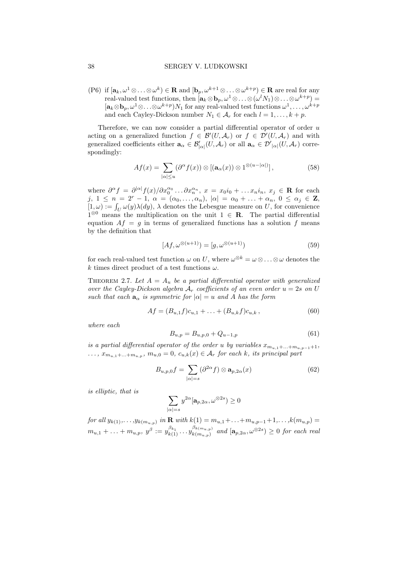#### 38 SERGEY V. LUDKOWSKI

(P6) if  $[\mathbf{a}_k, \omega^1 \otimes \ldots \otimes \omega^k) \in \mathbf{R}$  and  $[\mathbf{b}_p, \omega^{k+1} \otimes \ldots \otimes \omega^{k+p}) \in \mathbf{R}$  are real for any real-valued test functions, then  $[\mathbf{a}_k \otimes \mathbf{b}_p, \omega^1 \otimes \ldots \otimes (\omega^l N_1) \otimes \ldots \otimes \omega^{k+p}) =$  $[\mathbf{a}_k \otimes \mathbf{b}_p, \omega^1 \otimes \ldots \otimes \omega^{k+p})N_1$  for any real-valued test functions  $\omega^1, \ldots, \omega^{k+p}$ and each Cayley-Dickson number  $N_1 \in \mathcal{A}_r$  for each  $l = 1, ..., k + p$ .

Therefore, we can now consider a partial differential operator of order u acting on a generalized function  $f \in \mathcal{B}'(U, \mathcal{A}_r)$  or  $f \in \mathcal{D}'(U, \mathcal{A}_r)$  and with generalized coefficients either  $\mathbf{a}_{\alpha} \in \mathcal{B}'_{|\alpha|}(U, \mathcal{A}_r)$  or all  $\mathbf{a}_{\alpha} \in \mathcal{D}'_{|\alpha|}(U, \mathcal{A}_r)$  correspondingly:

$$
Af(x) = \sum_{|\alpha| \le u} (\partial^{\alpha} f(x)) \otimes [(\mathbf{a}_{\alpha}(x)) \otimes 1^{\otimes (u - |\alpha|)}], \tag{58}
$$

where  $\partial^{\alpha} f = \partial^{|\alpha|} f(x)/\partial x_0^{\alpha_0} \dots \partial x_n^{\alpha_n}, x = x_0 i_0 + \dots x_n i_n, x_j \in \mathbf{R}$  for each j,  $1 \leq n = 2^r - 1$ ,  $\alpha = (\alpha_0, ..., \alpha_n)$ ,  $|\alpha| = \alpha_0 + ... + \alpha_n$ ,  $0 \leq \alpha_j \in \mathbb{Z}$ ,  $[1,\omega) := \int_U \omega(y) \lambda(dy)$ ,  $\lambda$  denotes the Lebesgue measure on U, for convenience  $1^{\otimes 0}$  means the multiplication on the unit  $1 \in \mathbb{R}$ . The partial differential equation  $Af = g$  in terms of generalized functions has a solution f means by the definition that

$$
[Af, \omega^{\otimes (u+1)}) = [g, \omega^{\otimes (u+1)})
$$
\n(59)

for each real-valued test function  $\omega$  on U, where  $\omega^{\otimes k} = \omega \otimes \ldots \otimes \omega$  denotes the k times direct product of a test functions  $\omega$ .

THEOREM 2.7. Let  $A = A_u$  be a partial differential operator with generalized over the Cayley-Dickson algebra  $A_r$  coefficients of an even order  $u = 2s$  on U such that each  $\mathbf{a}_{\alpha}$  is symmetric for  $|\alpha| = u$  and A has the form

$$
Af = (B_{u,1}f)c_{u,1} + \ldots + (B_{u,k}f)c_{u,k}, \qquad (60)
$$

where each

$$
B_{u,p} = B_{u,p,0} + Q_{u-1,p} \tag{61}
$$

is a partial differential operator of the order u by variables  $x_{m_{u,1}+\ldots+m_{u,p-1}+1}$ ,  $\dots, x_{m_{u,1}+\dots+m_{u,p}}, m_{u,0}=0, c_{u,k}(x) \in \mathcal{A}_r$  for each k, its principal part

$$
B_{u,p,0}f = \sum_{|\alpha|=s} (\partial^{2\alpha} f) \otimes \mathbf{a}_{p,2\alpha}(x)
$$
 (62)

is elliptic, that is

$$
\sum_{|\alpha|=s} y^{2\alpha} [\mathbf{a}_{p,2\alpha}, \omega^{\otimes 2s}) \ge 0
$$

for all  $y_{k(1)},..., y_{k(m_{u,p})}$  in **R** with  $k(1) = m_{u,1} + ... + m_{u,p-1} + 1,..., k(m_{u,p}) =$  $m_{u,1} + \ldots + m_{u,p}, y^{\beta} := y_{k(1)}^{\beta_{k_1}} \ldots y_{k(m_{u,p})}^{\beta_{k(m_{u,p})}}$  $\int_{k(m_{u,p})}^{\beta_{k(m_{u,p})}}$  and  $[\mathbf{a}_{p,2\alpha}, \omega^{\otimes 2s}) \geq 0$  for each real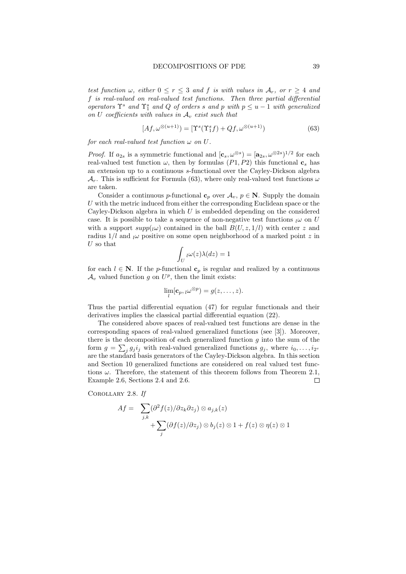test function  $\omega$ , either  $0 \le r \le 3$  and f is with values in  $A_r$ , or  $r \ge 4$  and f is real-valued on real-valued test functions. Then three partial differential operators  $\Upsilon^s$  and  $\Upsilon^s_1$  and Q of orders s and p with  $p \le u - 1$  with generalized on U coefficients with values in  $A_v$  exist such that

$$
[Af, \omega^{\otimes (u+1)}) = [\Upsilon^s(\Upsilon_1^s f) + Qf, \omega^{\otimes (u+1)})
$$
\n(63)

for each real-valued test function  $\omega$  on U.

*Proof.* If  $a_{2s}$  is a symmetric functional and  $[\mathbf{c}_s, \omega^{\otimes s}] = [\mathbf{a}_{2s}, \omega^{\otimes 2s}]^{1/2}$  for each real-valued test function  $\omega$ , then by formulas (P1, P2) this functional  $c_s$  has an extension up to a continuous s-functional over the Cayley-Dickson algebra  $\mathcal{A}_r$ . This is sufficient for Formula (63), where only real-valued test functions  $\omega$ are taken.

Consider a continuous p-functional  $\mathbf{c}_p$  over  $\mathcal{A}_v, p \in \mathbb{N}$ . Supply the domain  $U$  with the metric induced from either the corresponding Euclidean space or the Cayley-Dickson algebra in which  $U$  is embedded depending on the considered case. It is possible to take a sequence of non-negative test functions  $\omega$  on U with a support  $supp(j\omega)$  contained in the ball  $B(U, z, 1/l)$  with center z and radius  $1/l$  and  $l\omega$  positive on some open neighborhood of a marked point z in  $U$  so that

$$
\int_U \iota\omega(z)\lambda(dz)=1
$$

for each  $l \in \mathbb{N}$ . If the *p*-functional  $\mathbf{c}_p$  is regular and realized by a continuous  $\mathcal{A}_v$  valued function g on  $U^p$ , then the limit exists:

$$
\lim_{l}[\mathbf{c}_p, \iota \omega^{\otimes p}) = g(z, \ldots, z).
$$

Thus the partial differential equation (47) for regular functionals and their derivatives implies the classical partial differential equation (22).

The considered above spaces of real-valued test functions are dense in the corresponding spaces of real-valued generalized functions (see [3]). Moreover, there is the decomposition of each generalized function  $g$  into the sum of the form  $g = \sum_j g_j i_j$  with real-valued generalized functions  $g_j$ , where  $i_0, \ldots, i_{2^v}$ are the standard basis generators of the Cayley-Dickson algebra. In this section and Section 10 generalized functions are considered on real valued test functions  $\omega$ . Therefore, the statement of this theorem follows from Theorem 2.1, Example 2.6, Sections 2.4 and 2.6.  $\Box$ 

Corollary 2.8. If

$$
Af = \sum_{j,k} (\partial^2 f(z)/\partial z_k \partial z_j) \otimes a_{j,k}(z) + \sum_j (\partial f(z)/\partial z_j) \otimes b_j(z) \otimes 1 + f(z) \otimes \eta(z) \otimes 1
$$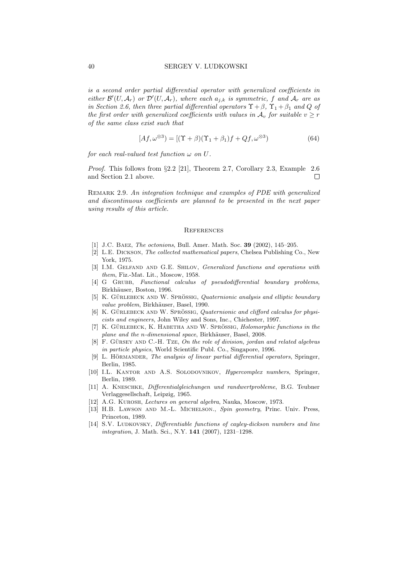is a second order partial differential operator with generalized coefficients in either  $\mathcal{B}'(U,\mathcal{A}_r)$  or  $\mathcal{D}'(U,\mathcal{A}_r)$ , where each  $a_{j,k}$  is symmetric, f and  $\mathcal{A}_r$  are as in Section 2.6, then three partial differential operators  $\Upsilon + \beta$ ,  $\Upsilon_1 + \beta_1$  and Q of the first order with generalized coefficients with values in  $A_v$  for suitable  $v \geq r$ of the same class exist such that

$$
[Af, \omega^{\otimes 3}) = [(\Upsilon + \beta)(\Upsilon_1 + \beta_1)f + Qf, \omega^{\otimes 3})
$$
\n(64)

for each real-valued test function  $\omega$  on U.

Proof. This follows from §2.2 [21], Theorem 2.7, Corollary 2.3, Example 2.6 and Section 2.1 above. П

Remark 2.9. An integration technique and examples of PDE with generalized and discontinuous coefficients are planned to be presented in the next paper using results of this article.

#### **REFERENCES**

- [1] J.C. BAEZ, *The octonions*, Bull. Amer. Math. Soc. **39** (2002), 145–205.
- [2] L.E. Dickson, The collected mathematical papers, Chelsea Publishing Co., New York, 1975.
- [3] I.M. GELFAND AND G.E. SHILOV, *Generalized functions and operations with* them, Fiz.-Mat. Lit., Moscow, 1958.
- [4] G GRUBB, Functional calculus of pseudodifferential boundary problems, Birkhäuser, Boston, 1996.
- [5] K. GÜRLEBECK AND W. SPRÖSSIG, Quaternionic analysis and elliptic boundary value problem, Birkhäuser, Basel, 1990.
- $[6]$  K. GÜRLEBECK AND W. SPRÖSSIG, Quaternionic and clifford calculus for physicists and engineers, John Wiley and Sons, Inc., Chichester, 1997.
- [7] K. GÜRLEBECK, K. HABETHA AND W. SPRÖSSIG, *Holomorphic functions in the* plane and the n-dimensional space, Birkhäuser, Basel, 2008.
- $[8]$  F. GÜRSEY AND C.-H. TzE, On the role of division, jordan and related algebras in particle physics, World Scientific Publ. Co., Singapore, 1996.
- [9] L. HÖRMANDER, The analysis of linear partial differential operators, Springer, Berlin, 1985.
- [10] I.L. KANTOR AND A.S. SOLODOVNIKOV, *Hypercomplex numbers*, Springer, Berlin, 1989.
- [11] A. Kneschke, Differentialgleichungen und randwertprobleme, B.G. Teubner Verlaggesellschaft, Leipzig, 1965.
- [12] A.G. Kurosh, Lectures on general algebra, Nauka, Moscow, 1973.
- [13] H.B. LAWSON AND M.-L. MICHELSON., Spin geometry, Princ. Univ. Press, Princeton, 1989.
- [14] S.V. LUDKOVSKY, *Differentiable functions of cayley-dickson numbers and line* integration, J. Math. Sci., N.Y. 141 (2007), 1231–1298.